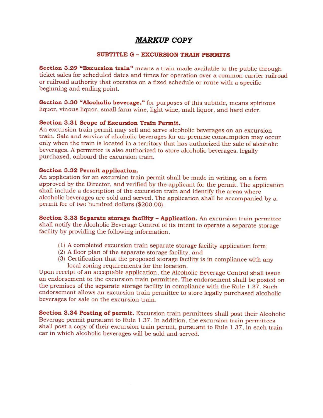## **MARKUP COPY**

## **SUBTITLE G - EXCURSION TRAIN PERMITS**

Section 3.29 "Excursion train" means a train made available to the public through ticket sales for scheduled dates and times for operation over a common carrier railroad or railroad authority that operates on a fixed schedule or route with a specific beginning and ending point.

Section 3.30 "Alcoholic beverage," for purposes of this subtitle, means spiritous liquor, vinous liquor, small farm wine, light wine, malt liquor, and hard cider.

## Section 3.31 Scope of Excursion Train Permit.

An excursion train permit may sell and serve alcoholic beverages on an excursion train. Sale and service of alcoholic beverages for on-premise consumption may occur only when the train is located in a territory that has authorized the sale of alcoholic beverages. A permittee is also authorized to store alcoholic beverages, legally purchased, onboard the excursion train.

## Section 3.32 Permit application.

An application for an excursion train permit shall be made in writing, on a form approved by the Director, and verified by the applicant for the permit. The application shall include a description of the excursion train and identify the areas where alcoholic beverages are sold and served. The application shall be accompanied by a permit fee of two hundred dollars (\$200.00).

Section 3.33 Separate storage facility - Application. An excursion train permittee shall notify the Alcoholic Beverage Control of its intent to operate a separate storage facility by providing the following information.

- (1) A completed excursion train separate storage facility application form;
- (2) A floor plan of the separate storage facility; and
- (3) Certification that the proposed storage facility is in compliance with any local zoning requirements for the location.

Upon receipt of an acceptable application, the Alcoholic Beverage Control shall issue an endorsement to the excursion train permittee. The endorsement shall be posted on the premises of the separate storage facility in compliance with the Rule 1.37. Such endorsement allows an excursion train permittee to store legally purchased alcoholic beverages for sale on the excursion train.

Section 3.34 Posting of permit. Excursion train permittees shall post their Alcoholic Beverage permit pursuant to Rule 1.37. In addition, the excursion train permittees shall post a copy of their excursion train permit, pursuant to Rule 1.37, in each train car in which alcoholic beverages will be sold and served.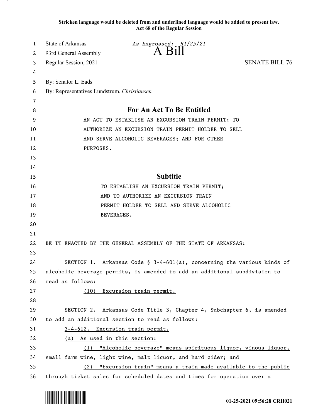**Stricken language would be deleted from and underlined language would be added to present law. Act 68 of the Regular Session**

| 1  | State of Arkansas<br>As Engrossed: H1/25/21                                |                                                                           |
|----|----------------------------------------------------------------------------|---------------------------------------------------------------------------|
| 2  | A B1ll<br>93rd General Assembly                                            |                                                                           |
| 3  | Regular Session, 2021                                                      | <b>SENATE BILL 76</b>                                                     |
| 4  |                                                                            |                                                                           |
| 5  | By: Senator L. Eads                                                        |                                                                           |
| 6  | By: Representatives Lundstrum, Christiansen                                |                                                                           |
| 7  |                                                                            |                                                                           |
| 8  | For An Act To Be Entitled                                                  |                                                                           |
| 9  | AN ACT TO ESTABLISH AN EXCURSION TRAIN PERMIT; TO                          |                                                                           |
| 10 | AUTHORIZE AN EXCURSION TRAIN PERMIT HOLDER TO SELL                         |                                                                           |
| 11 | AND SERVE ALCOHOLIC BEVERAGES; AND FOR OTHER                               |                                                                           |
| 12 | PURPOSES.                                                                  |                                                                           |
| 13 |                                                                            |                                                                           |
| 14 |                                                                            |                                                                           |
| 15 | <b>Subtitle</b>                                                            |                                                                           |
| 16 | TO ESTABLISH AN EXCURSION TRAIN PERMIT;                                    |                                                                           |
| 17 | AND TO AUTHORIZE AN EXCURSION TRAIN                                        |                                                                           |
| 18 | PERMIT HOLDER TO SELL AND SERVE ALCOHOLIC                                  |                                                                           |
| 19 | <b>BEVERAGES.</b>                                                          |                                                                           |
| 20 |                                                                            |                                                                           |
| 21 |                                                                            |                                                                           |
| 22 | BE IT ENACTED BY THE GENERAL ASSEMBLY OF THE STATE OF ARKANSAS:            |                                                                           |
| 23 |                                                                            |                                                                           |
| 24 |                                                                            | SECTION 1. Arkansas Code § $3-4-601(a)$ , concerning the various kinds of |
| 25 | alcoholic beverage permits, is amended to add an additional subdivision to |                                                                           |
| 26 | read as follows:                                                           |                                                                           |
| 27 | (10) Excursion train permit.                                               |                                                                           |
| 28 |                                                                            |                                                                           |
| 29 |                                                                            | SECTION 2. Arkansas Code Title 3, Chapter 4, Subchapter 6, is amended     |
| 30 | to add an additional section to read as follows:                           |                                                                           |
| 31 | 3-4-612. Excursion train permit.                                           |                                                                           |
| 32 | (a) As used in this section:                                               |                                                                           |
| 33 |                                                                            | (1) "Alcoholic beverage" means spirituous liquor, vinous liquor,          |
| 34 | small farm wine, light wine, malt liquor, and hard cider; and              |                                                                           |
| 35 | (2)                                                                        | "Excursion train" means a train made available to the public              |
| 36 | through ticket sales for scheduled dates and times for operation over a    |                                                                           |

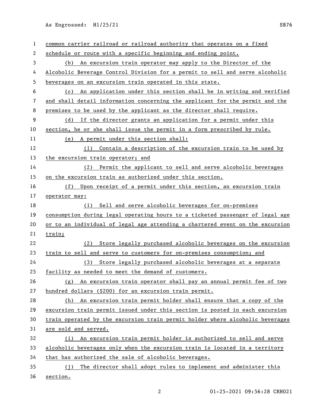As Engrossed: H1/25/21 SB76

| 1                     | common carrier railroad or railroad authority that operates on a fixed        |
|-----------------------|-------------------------------------------------------------------------------|
| $\mathbf{2}^{\prime}$ | schedule or route with a specific beginning and ending point.                 |
| 3                     | An excursion train operator may apply to the Director of the<br>(b)           |
| 4                     | Alcoholic Beverage Control Division for a permit to sell and serve alcoholic  |
| 5                     | beverages on an excursion train operated in this state.                       |
| 6                     | An application under this section shall be in writing and verified<br>(c)     |
| 7                     | and shall detail information concerning the applicant for the permit and the  |
| 8                     | premises to be used by the applicant as the director shall require.           |
| 9                     | (d) If the director grants an application for a permit under this             |
| 10                    | section, he or she shall issue the permit in a form prescribed by rule.       |
| 11                    | (e) A permit under this section shall:                                        |
| 12                    | (1) Contain a description of the excursion train to be used by                |
| 13                    | the excursion train operator; and                                             |
| 14                    | (2) Permit the applicant to sell and serve alcoholic beverages                |
| 15                    | on the excursion train as authorized under this section.                      |
| 16                    | (f) Upon receipt of a permit under this section, an excursion train           |
| 17                    | operator may:                                                                 |
| 18                    | Sell and serve alcoholic beverages for on-premises<br>(1)                     |
| 19                    | consumption during legal operating hours to a ticketed passenger of legal age |
| 20                    | or to an individual of legal age attending a chartered event on the excursion |
| 21                    | train;                                                                        |
| 22                    | Store legally purchased alcoholic beverages on the excursion<br>(2)           |
| 23                    | train to sell and serve to customers for on-premises consumption; and         |
| 24                    | (3) Store legally purchased alcoholic beverages at a separate                 |
| 25                    | facility as needed to meet the demand of customers.                           |
| 26                    | $(g)$ An excursion train operator shall pay an annual permit fee of two       |
| 27                    | hundred dollars (\$200) for an excursion train permit.                        |
| 28                    | (h) An excursion train permit holder shall ensure that a copy of the          |
| 29                    | excursion train permit issued under this section is posted in each excursion  |
| 30                    | train operated by the excursion train permit holder where alcoholic beverages |
| 31                    | are sold and served.                                                          |
| 32                    | (i) An excursion train permit holder is authorized to sell and serve          |
| 33                    | alcoholic beverages only when the excursion train is located in a territory   |
| 34                    | that has authorized the sale of alcoholic beverages.                          |
| 35                    | (j) The director shall adopt rules to implement and administer this           |
| 36                    | section.                                                                      |